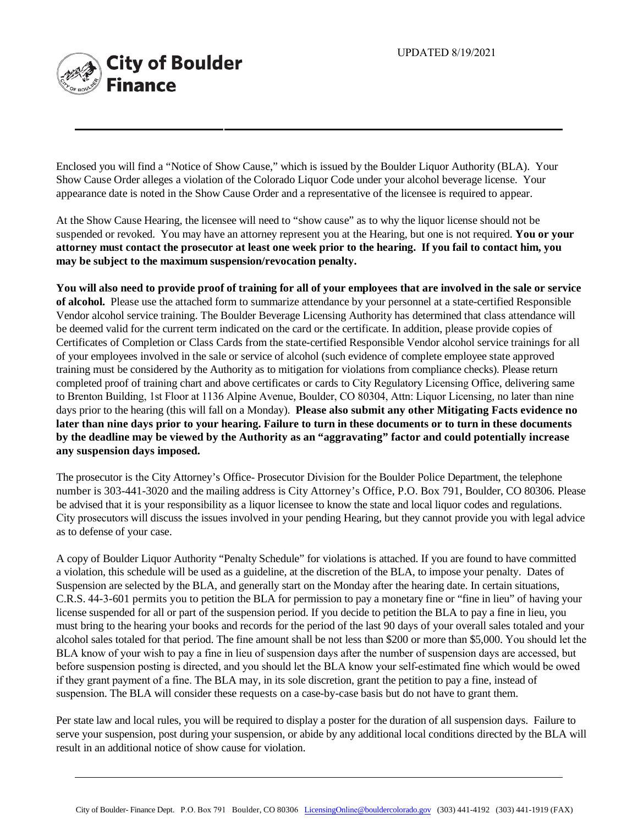

Enclosed you will find a "Notice of Show Cause," which is issued by the Boulder Liquor Authority (BLA). Your Show Cause Order alleges a violation of the Colorado Liquor Code under your alcohol beverage license. Your appearance date is noted in the Show Cause Order and a representative of the licensee is required to appear.

At the Show Cause Hearing, the licensee will need to "show cause" as to why the liquor license should not be suspended or revoked. You may have an attorney represent you at the Hearing, but one is not required. **You or your** attorney must contact the prosecutor at least one week prior to the hearing. If you fail to contact him, you **may be subject to the maximum suspension/revocation penalty.**

You will also need to provide proof of training for all of your employees that are involved in the sale or service **of alcohol.** Please use the attached form to summarize attendance by your personnel at a state-certified Responsible Vendor alcohol service training. The Boulder Beverage Licensing Authority has determined that class attendance will be deemed valid for the current term indicated on the card or the certificate. In addition, please provide copies of Certificates of Completion or Class Cards from the state-certified Responsible Vendor alcohol service trainings for all of your employees involved in the sale or service of alcohol (such evidence of complete employee state approved training must be considered by the Authority as to mitigation for violations from compliance checks). Please return completed proof of training chart and above certificates or cards to City Regulatory Licensing Office, delivering same to Brenton Building, 1st Floor at 1136 Alpine Avenue, Boulder, CO 80304, Attn: Liquor Licensing, no later than nine days prior to the hearing (this will fall on a Monday). **Please also submit any other Mitigating Facts evidence no later than nine days prior to your hearing. Failure to turn in these documents or to turn in these documents by the deadline may be viewed by the Authority as an "aggravating" factor and could potentially increase any suspension days imposed.** 

The prosecutor is the City Attorney's Office- Prosecutor Division for the Boulder Police Department, the telephone number is 303-441-3020 and the mailing address is City Attorney's Office, P.O. Box 791, Boulder, CO 80306. Please be advised that it is your responsibility as a liquor licensee to know the state and local liquor codes and regulations. City prosecutors will discuss the issues involved in your pending Hearing, but they cannot provide you with legal advice as to defense of your case.

A copy of Boulder Liquor Authority "Penalty Schedule" for violations is attached. If you are found to have committed a violation, this schedule will be used as a guideline, at the discretion of the BLA, to impose your penalty. Dates of Suspension are selected by the BLA, and generally start on the Monday after the hearing date. In certain situations, C.R.S. 44-3-601 permits you to petition the BLA for permission to pay a monetary fine or "fine in lieu" of having your license suspended for all or part of the suspension period. If you decide to petition the BLA to pay a fine in lieu, you must bring to the hearing your books and records for the period of the last 90 days of your overall sales totaled and your alcohol sales totaled for that period. The fine amount shall be not less than \$200 or more than \$5,000. You should let the BLA know of your wish to pay a fine in lieu of suspension days after the number of suspension days are accessed, but before suspension posting is directed, and you should let the BLA know your self-estimated fine which would be owed if they grant payment of a fine. The BLA may, in its sole discretion, grant the petition to pay a fine, instead of suspension. The BLA will consider these requests on a case-by-case basis but do not have to grant them.

Per state law and local rules, you will be required to display a poster for the duration of all suspension days. Failure to serve your suspension, post during your suspension, or abide by any additional local conditions directed by the BLA will result in an additional notice of show cause for violation.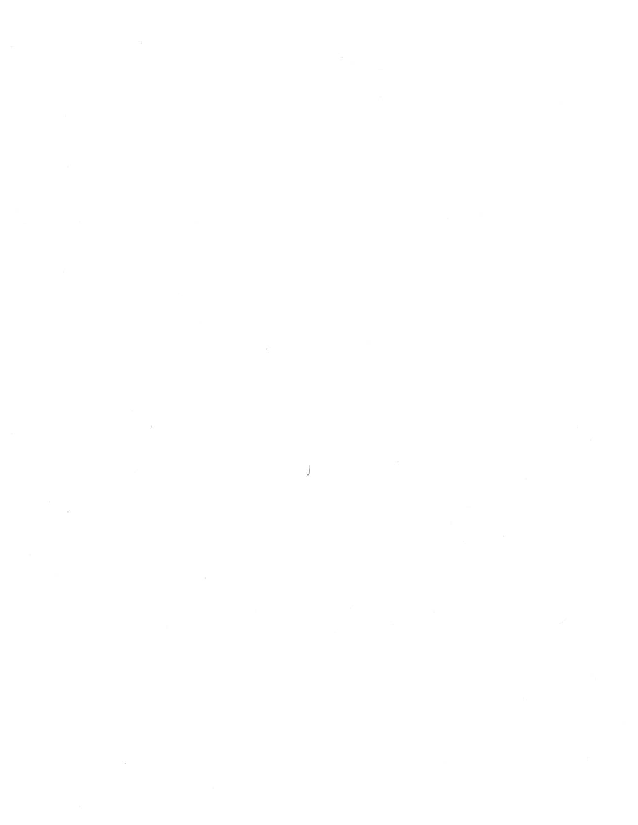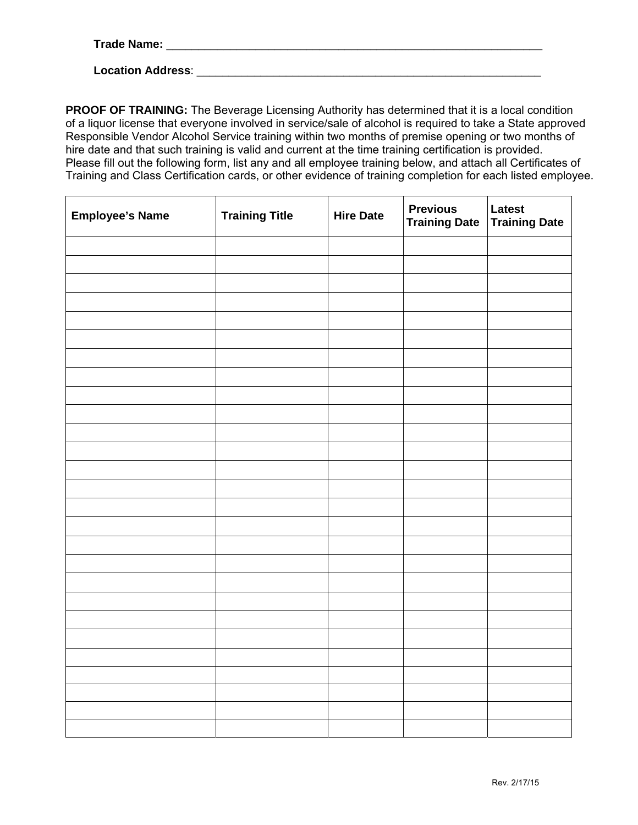| <b>Trade Name:</b> |  |
|--------------------|--|
|                    |  |

## **Location Address**: \_\_\_\_\_\_\_\_\_\_\_\_\_\_\_\_\_\_\_\_\_\_\_\_\_\_\_\_\_\_\_\_\_\_\_\_\_\_\_\_\_\_\_\_\_\_\_\_\_\_\_\_\_\_

**PROOF OF TRAINING:** The Beverage Licensing Authority has determined that it is a local condition of a liquor license that everyone involved in service/sale of alcohol is required to take a State approved Responsible Vendor Alcohol Service training within two months of premise opening or two months of hire date and that such training is valid and current at the time training certification is provided. Please fill out the following form, list any and all employee training below, and attach all Certificates of Training and Class Certification cards, or other evidence of training completion for each listed employee.

| <b>Employee's Name</b> | <b>Training Title</b> | <b>Hire Date</b> | <b>Previous</b><br><b>Training Date</b> | Latest<br><b>Training Date</b> |
|------------------------|-----------------------|------------------|-----------------------------------------|--------------------------------|
|                        |                       |                  |                                         |                                |
|                        |                       |                  |                                         |                                |
|                        |                       |                  |                                         |                                |
|                        |                       |                  |                                         |                                |
|                        |                       |                  |                                         |                                |
|                        |                       |                  |                                         |                                |
|                        |                       |                  |                                         |                                |
|                        |                       |                  |                                         |                                |
|                        |                       |                  |                                         |                                |
|                        |                       |                  |                                         |                                |
|                        |                       |                  |                                         |                                |
|                        |                       |                  |                                         |                                |
|                        |                       |                  |                                         |                                |
|                        |                       |                  |                                         |                                |
|                        |                       |                  |                                         |                                |
|                        |                       |                  |                                         |                                |
|                        |                       |                  |                                         |                                |
|                        |                       |                  |                                         |                                |
|                        |                       |                  |                                         |                                |
|                        |                       |                  |                                         |                                |
|                        |                       |                  |                                         |                                |
|                        |                       |                  |                                         |                                |
|                        |                       |                  |                                         |                                |
|                        |                       |                  |                                         |                                |
|                        |                       |                  |                                         |                                |
|                        |                       |                  |                                         |                                |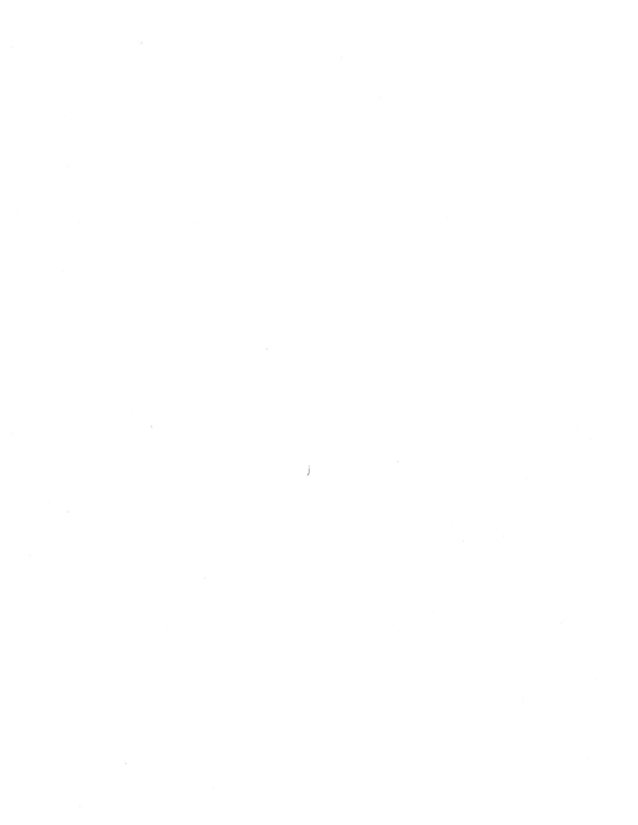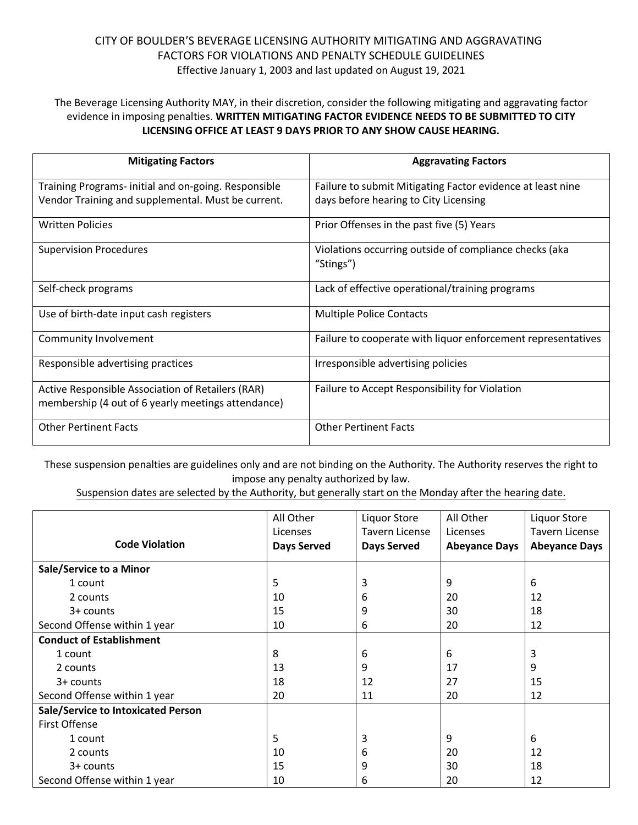## CITY OF BOULDER'S BEVERAGE LICENSING AUTHORITY MITIGATING AND AGGRAVATING FACTORS FOR VIOLATIONS AND PENALTY SCHEDULE GUIDELINES Effective January 1, 2003 and last updated on August 19, 2021

The Beverage Licensing Authority MAY, in their discretion, consider the following mitigating and aggravating factor evidence in imposing penalties. **WRITTEN MITIGATING FACTOR EVIDENCE NEEDS TO BE SUBMITTED TO CITY LICENSING OFFICE AT LEAST 9 DAYS PRIOR TO ANY SHOW CAUSE HEARING.**

| <b>Mitigating Factors</b>                                                                                  | <b>Aggravating Factors</b>                                                                          |
|------------------------------------------------------------------------------------------------------------|-----------------------------------------------------------------------------------------------------|
| Training Programs- initial and on-going. Responsible<br>Vendor Training and supplemental. Must be current. | Failure to submit Mitigating Factor evidence at least nine<br>days before hearing to City Licensing |
| <b>Written Policies</b>                                                                                    | Prior Offenses in the past five (5) Years                                                           |
| <b>Supervision Procedures</b>                                                                              | Violations occurring outside of compliance checks (aka<br>"Stings")                                 |
| Self-check programs                                                                                        | Lack of effective operational/training programs                                                     |
| Use of birth-date input cash registers                                                                     | <b>Multiple Police Contacts</b>                                                                     |
| Community Involvement                                                                                      | Failure to cooperate with liquor enforcement representatives                                        |
| Responsible advertising practices                                                                          | Irresponsible advertising policies                                                                  |
| Active Responsible Association of Retailers (RAR)<br>membership (4 out of 6 yearly meetings attendance)    | Failure to Accept Responsibility for Violation                                                      |
| <b>Other Pertinent Facts</b>                                                                               | <b>Other Pertinent Facts</b>                                                                        |

These suspension penalties are guidelines only and are not binding on the Authority. The Authority reserves the right to impose any penalty authorized by law.

Suspension dates are selected by the Authority, but generally start on the Monday after the hearing date.

|                                           | All Other          | Liquor Store          | All Other            | Liquor Store         |
|-------------------------------------------|--------------------|-----------------------|----------------------|----------------------|
|                                           | Licenses           | <b>Tavern License</b> | Licenses             | Tavern License       |
| <b>Code Violation</b>                     | <b>Days Served</b> | <b>Days Served</b>    | <b>Abeyance Days</b> | <b>Abeyance Days</b> |
| <b>Sale/Service to a Minor</b>            |                    |                       |                      |                      |
| 1 count                                   | 5                  | 3                     | 9                    | 6                    |
| 2 counts                                  | 10                 | 6                     | 20                   | 12                   |
| 3+ counts                                 | 15                 | 9                     | 30                   | 18                   |
| Second Offense within 1 year              | 10                 | 6                     | 20                   | 12                   |
| <b>Conduct of Establishment</b>           |                    |                       |                      |                      |
| 1 count                                   | 8                  | 6                     | 6                    | 3                    |
| 2 counts                                  | 13                 | 9                     | 17                   | 9                    |
| 3+ counts                                 | 18                 | 12                    | 27                   | 15                   |
| Second Offense within 1 year              | 20                 | 11                    | 20                   | 12                   |
| <b>Sale/Service to Intoxicated Person</b> |                    |                       |                      |                      |
| <b>First Offense</b>                      |                    |                       |                      |                      |
| 1 count                                   | 5                  | 3                     | 9                    | 6                    |
| 2 counts                                  | 10                 | 6                     | 20                   | 12                   |
| 3+ counts                                 | 15                 | 9                     | 30                   | 18                   |
| Second Offense within 1 year              | 10                 | 6                     | 20                   | 12                   |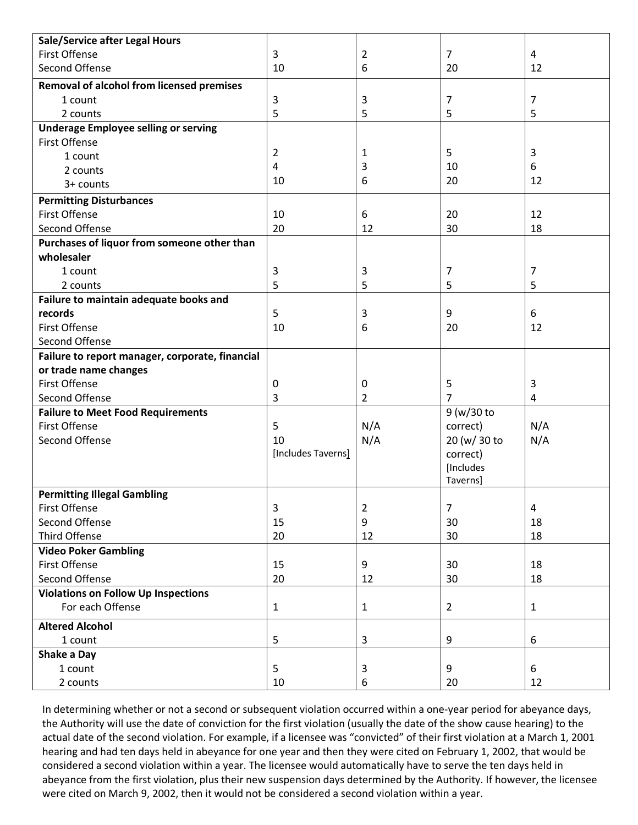| Sale/Service after Legal Hours                   |                    |                |                |                |
|--------------------------------------------------|--------------------|----------------|----------------|----------------|
| <b>First Offense</b>                             | 3                  | $\overline{2}$ | $\overline{7}$ | $\overline{4}$ |
| Second Offense                                   | 10                 | 6              | 20             | 12             |
| <b>Removal of alcohol from licensed premises</b> |                    |                |                |                |
| 1 count                                          | 3                  | 3              | $\overline{7}$ | $\overline{7}$ |
| 2 counts                                         | 5                  | 5              | 5              | 5              |
| <b>Underage Employee selling or serving</b>      |                    |                |                |                |
| First Offense                                    |                    |                |                |                |
| 1 count                                          | 2                  | 1              | 5              | 3              |
| 2 counts                                         | 4                  | 3              | 10             | 6              |
| 3+ counts                                        | 10                 | 6              | 20             | 12             |
| <b>Permitting Disturbances</b>                   |                    |                |                |                |
| <b>First Offense</b>                             | 10                 | 6              | 20             | 12             |
| Second Offense                                   | 20                 | 12             | 30             | 18             |
| Purchases of liquor from someone other than      |                    |                |                |                |
| wholesaler                                       |                    |                |                |                |
| 1 count                                          | 3                  | 3              | 7              | 7              |
| 2 counts                                         | 5                  | 5              | 5              | 5              |
| Failure to maintain adequate books and           |                    |                |                |                |
| records                                          | 5                  | 3              | 9              | 6              |
| <b>First Offense</b>                             | 10                 | 6              | 20             | 12             |
| Second Offense                                   |                    |                |                |                |
| Failure to report manager, corporate, financial  |                    |                |                |                |
| or trade name changes                            |                    |                |                |                |
| <b>First Offense</b>                             | 0                  | 0              | 5              | 3              |
| Second Offense                                   | 3                  | $\overline{2}$ | $\overline{7}$ | 4              |
| <b>Failure to Meet Food Requirements</b>         |                    |                | 9 (w/30 to     |                |
| <b>First Offense</b>                             | 5                  | N/A            | correct)       | N/A            |
| Second Offense                                   | 10                 | N/A            | 20 (w/ 30 to   | N/A            |
|                                                  | [Includes Taverns] |                | correct)       |                |
|                                                  |                    |                | [Includes      |                |
|                                                  |                    |                | Taverns]       |                |
| <b>Permitting Illegal Gambling</b>               |                    |                |                |                |
| First Offense                                    | 3                  | $\overline{2}$ | 7              | 4              |
| Second Offense                                   | 15                 | 9              | 30             | 18             |
| Third Offense                                    | 20                 | 12             | 30             | 18             |
| <b>Video Poker Gambling</b>                      |                    |                |                |                |
| First Offense                                    | 15                 | 9              | 30             | 18             |
| Second Offense                                   | 20                 | 12             | 30             | 18             |
| <b>Violations on Follow Up Inspections</b>       |                    |                |                |                |
| For each Offense                                 | 1                  | $\mathbf{1}$   | $\overline{2}$ | $\mathbf{1}$   |
| <b>Altered Alcohol</b>                           |                    |                |                |                |
| 1 count                                          | 5                  | 3              | 9              | 6              |
| Shake a Day                                      |                    |                |                |                |
| 1 count                                          | 5                  | 3              | 9              | 6              |
| 2 counts                                         | 10                 | 6              | 20             | 12             |

In determining whether or not a second or subsequent violation occurred within a one-year period for abeyance days, the Authority will use the date of conviction for the first violation (usually the date of the show cause hearing) to the actual date of the second violation. For example, if a licensee was "convicted" of their first violation at a March 1, 2001 hearing and had ten days held in abeyance for one year and then they were cited on February 1, 2002, that would be considered a second violation within a year. The licensee would automatically have to serve the ten days held in abeyance from the first violation, plus their new suspension days determined by the Authority. If however, the licensee were cited on March 9, 2002, then it would not be considered a second violation within a year.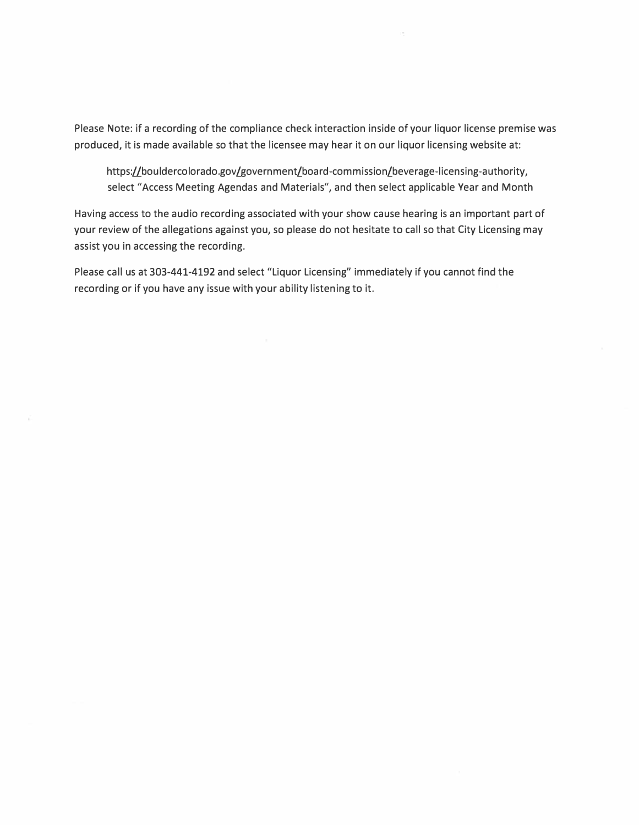Please Note: if a recording of the compliance check interaction inside of your liquor license premise was produced, it is made available so that the licensee may hear it on our liquor licensing website at:

https://bouldercolorado.gov/government/board-commission/beverage-licensing-authority, select "Access Meeting Agendas and Materials", and then select applicable Year and Month

Having access to the audio recording associated with your show cause hearing is an important part of your review of the allegations against you, so please do not hesitate to call so that City Licensing may assist you in accessing the recording.

Please call us at 303-441-4192 and select "Liquor Licensing" immediately if you cannot find the recording or if you have any issue with your ability listening to it.